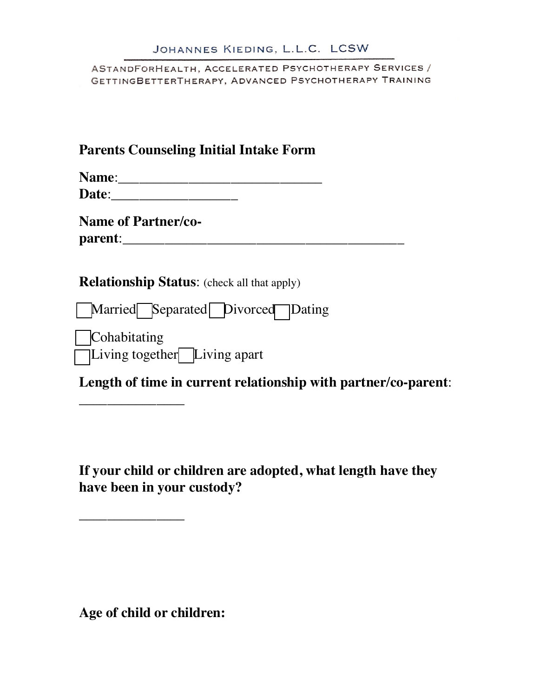ASTANDFORHEALTH, ACCELERATED PSYCHOTHERAPY SERVICES / GETTINGBETTERTHERAPY, ADVANCED PSYCHOTHERAPY TRAINING

## **Parents Counseling Initial Intake Form**

| <b>Name:</b> |  |
|--------------|--|
| Date:        |  |

**Name of Partner/coparent**:\_\_\_\_\_\_\_\_\_\_\_\_\_\_\_\_\_\_\_\_\_\_\_\_\_\_\_\_\_\_\_\_\_\_\_\_\_\_\_\_

\_\_\_\_\_\_\_\_\_\_\_\_\_\_\_

\_\_\_\_\_\_\_\_\_\_\_\_\_\_\_

**Relationship Status**: (check all that apply)

□ Married □ Separated □ Divorced □ Dating

**Cohabitating** □ Living together Living apart

**Length of time in current relationship with partner/co-parent**:

**If your child or children are adopted, what length have they have been in your custody?** 

**Age of child or children:**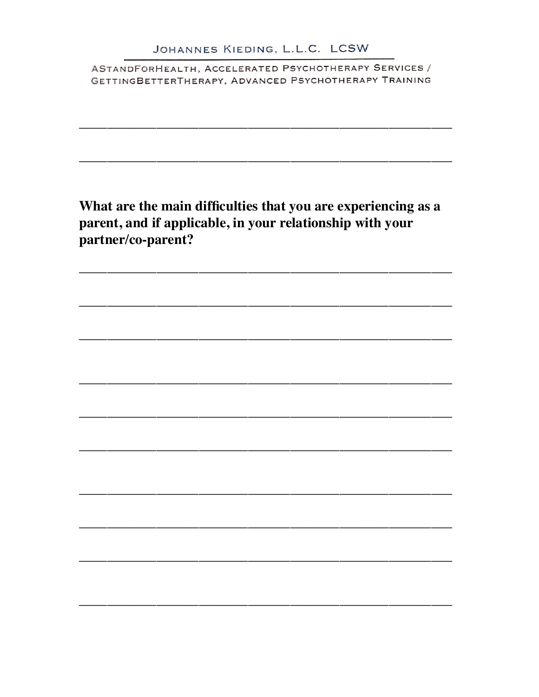What are the main difficulties that you are experiencing as a parent, and if applicable, in your relationship with your partner/co-parent?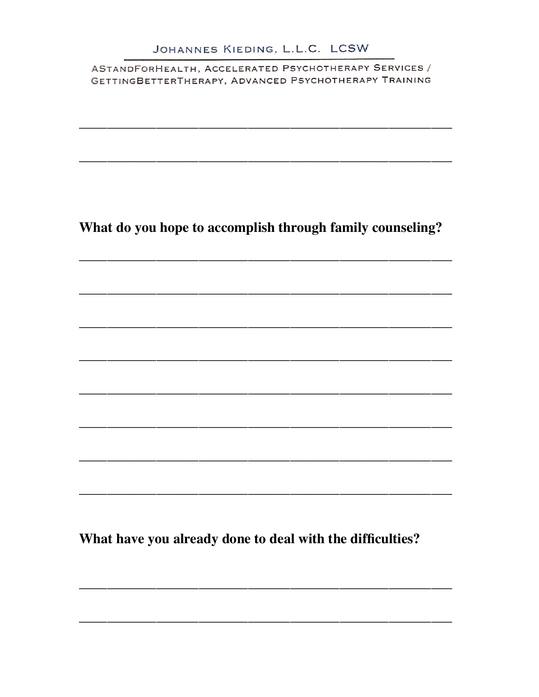What do you hope to accomplish through family counseling?

What have you already done to deal with the difficulties?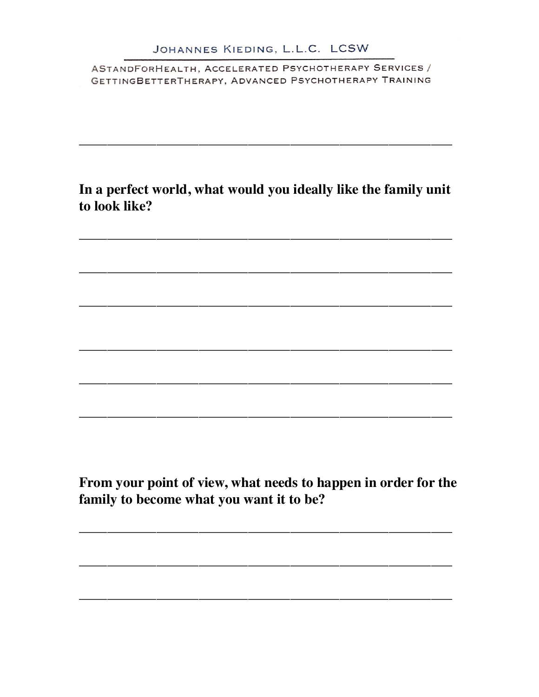In a perfect world, what would you ideally like the family unit to look like?

From your point of view, what needs to happen in order for the family to become what you want it to be?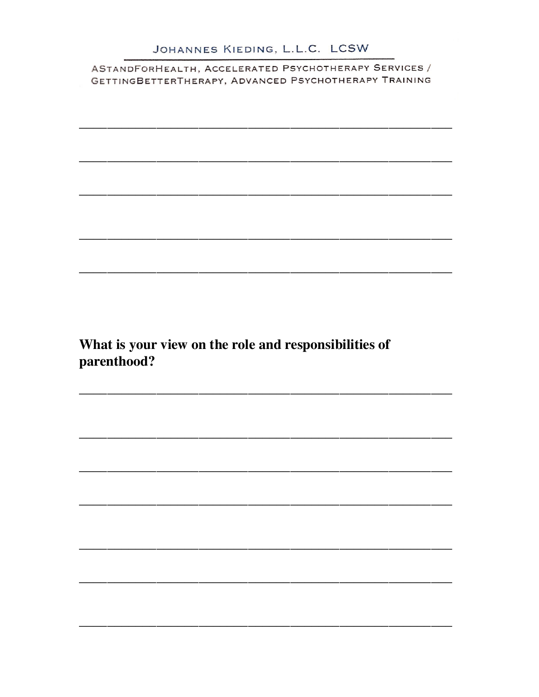What is your view on the role and responsibilities of parenthood?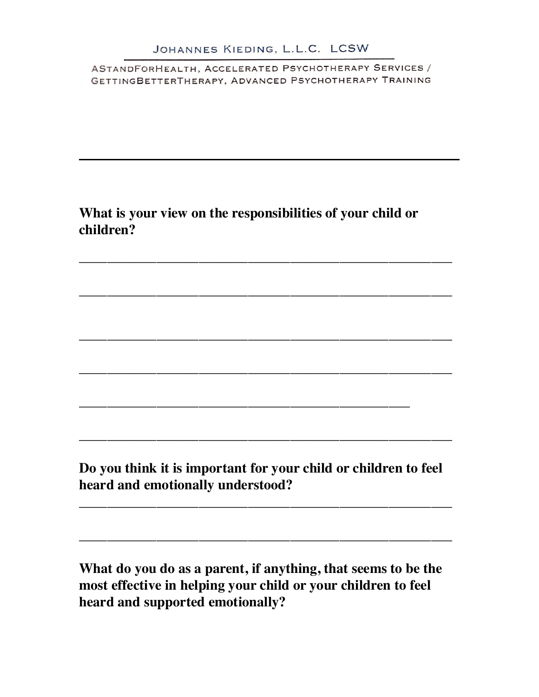# **What is your view on the responsibilities of your child or children?**

\_\_\_\_\_\_\_\_\_\_\_\_\_\_\_\_\_\_\_\_\_\_\_\_\_\_\_\_\_\_\_\_\_\_\_\_\_\_\_\_\_\_\_\_\_\_\_\_\_\_\_\_\_

\_\_\_\_\_\_\_\_\_\_\_\_\_\_\_\_\_\_\_\_\_\_\_\_\_\_\_\_\_\_\_\_\_\_\_\_\_\_\_\_\_\_\_\_\_\_\_\_\_\_\_\_\_

\_\_\_\_\_\_\_\_\_\_\_\_\_\_\_\_\_\_\_\_\_\_\_\_\_\_\_\_\_\_\_\_\_\_\_\_\_\_\_\_\_\_\_\_\_\_\_\_\_\_\_\_\_

\_\_\_\_\_\_\_\_\_\_\_\_\_\_\_\_\_\_\_\_\_\_\_\_\_\_\_\_\_\_\_\_\_\_\_\_\_\_\_\_\_\_\_\_\_\_\_\_\_\_\_\_\_

\_\_\_\_\_\_\_\_\_\_\_\_\_\_\_\_\_\_\_\_\_\_\_\_\_\_\_\_\_\_\_\_\_\_\_\_\_\_\_\_\_\_\_\_\_\_\_

**Do you think it is important for your child or children to feel heard and emotionally understood?**

\_\_\_\_\_\_\_\_\_\_\_\_\_\_\_\_\_\_\_\_\_\_\_\_\_\_\_\_\_\_\_\_\_\_\_\_\_\_\_\_\_\_\_\_\_\_\_\_\_\_\_\_\_

\_\_\_\_\_\_\_\_\_\_\_\_\_\_\_\_\_\_\_\_\_\_\_\_\_\_\_\_\_\_\_\_\_\_\_\_\_\_\_\_\_\_\_\_\_\_\_\_\_\_\_\_\_

\_\_\_\_\_\_\_\_\_\_\_\_\_\_\_\_\_\_\_\_\_\_\_\_\_\_\_\_\_\_\_\_\_\_\_\_\_\_\_\_\_\_\_\_\_\_\_\_\_\_\_\_\_

**What do you do as a parent, if anything, that seems to be the most effective in helping your child or your children to feel heard and supported emotionally?**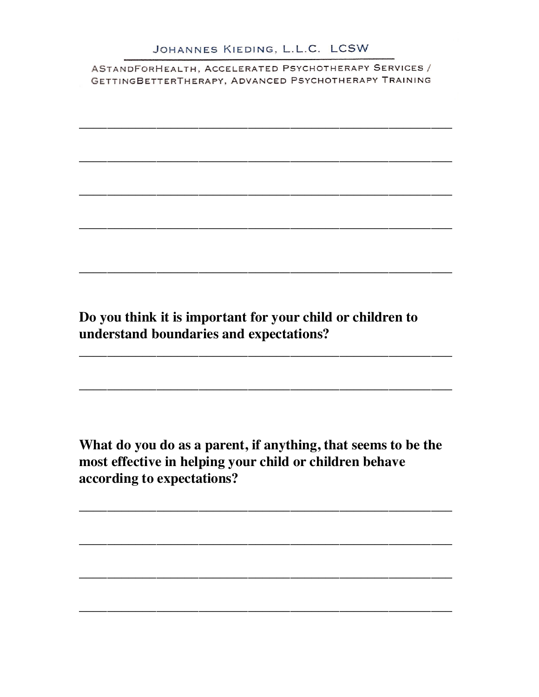Do you think it is important for your child or children to understand boundaries and expectations?

What do you do as a parent, if anything, that seems to be the most effective in helping your child or children behave according to expectations?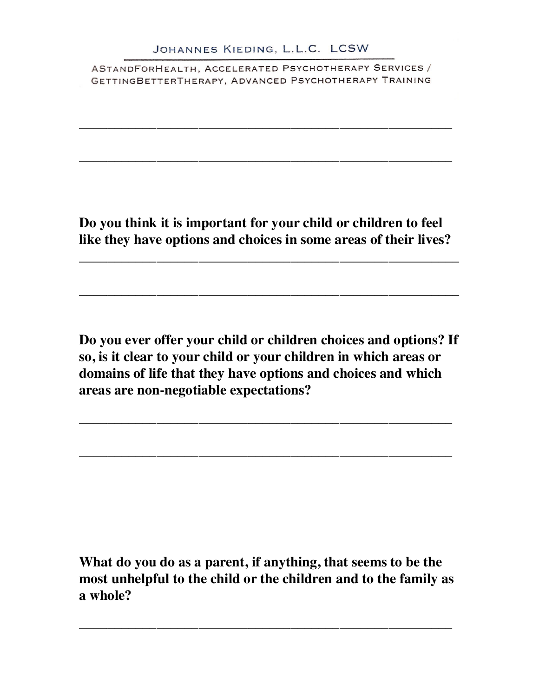\_\_\_\_\_\_\_\_\_\_\_\_\_\_\_\_\_\_\_\_\_\_\_\_\_\_\_\_\_\_\_\_\_\_\_\_\_\_\_\_\_\_\_\_\_\_\_\_\_\_\_\_\_

\_\_\_\_\_\_\_\_\_\_\_\_\_\_\_\_\_\_\_\_\_\_\_\_\_\_\_\_\_\_\_\_\_\_\_\_\_\_\_\_\_\_\_\_\_\_\_\_\_\_\_\_\_

**Do you think it is important for your child or children to feel like they have options and choices in some areas of their lives?** 

\_\_\_\_\_\_\_\_\_\_\_\_\_\_\_\_\_\_\_\_\_\_\_\_\_\_\_\_\_\_\_\_\_\_\_\_\_\_\_\_\_\_\_\_\_\_\_\_\_\_\_\_\_\_

\_\_\_\_\_\_\_\_\_\_\_\_\_\_\_\_\_\_\_\_\_\_\_\_\_\_\_\_\_\_\_\_\_\_\_\_\_\_\_\_\_\_\_\_\_\_\_\_\_\_\_\_\_\_

**Do you ever offer your child or children choices and options? If so, is it clear to your child or your children in which areas or domains of life that they have options and choices and which areas are non-negotiable expectations?** 

\_\_\_\_\_\_\_\_\_\_\_\_\_\_\_\_\_\_\_\_\_\_\_\_\_\_\_\_\_\_\_\_\_\_\_\_\_\_\_\_\_\_\_\_\_\_\_\_\_\_\_\_\_

\_\_\_\_\_\_\_\_\_\_\_\_\_\_\_\_\_\_\_\_\_\_\_\_\_\_\_\_\_\_\_\_\_\_\_\_\_\_\_\_\_\_\_\_\_\_\_\_\_\_\_\_\_

**What do you do as a parent, if anything, that seems to be the most unhelpful to the child or the children and to the family as a whole?** 

\_\_\_\_\_\_\_\_\_\_\_\_\_\_\_\_\_\_\_\_\_\_\_\_\_\_\_\_\_\_\_\_\_\_\_\_\_\_\_\_\_\_\_\_\_\_\_\_\_\_\_\_\_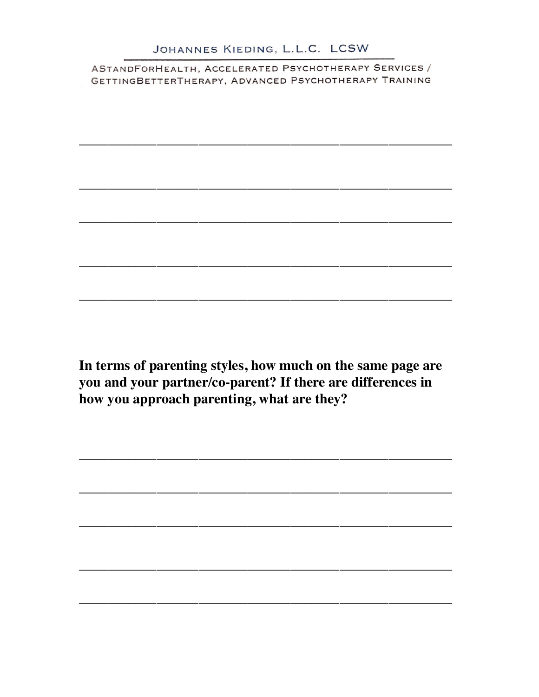In terms of parenting styles, how much on the same page are you and your partner/co-parent? If there are differences in how you approach parenting, what are they?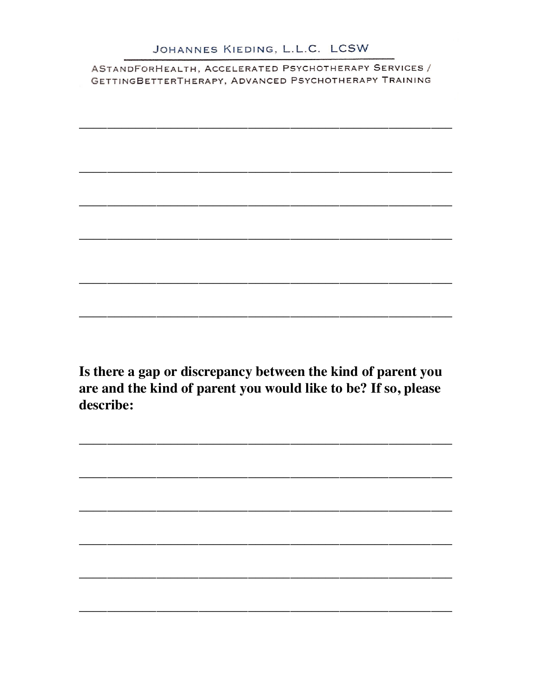Is there a gap or discrepancy between the kind of parent you are and the kind of parent you would like to be? If so, please describe: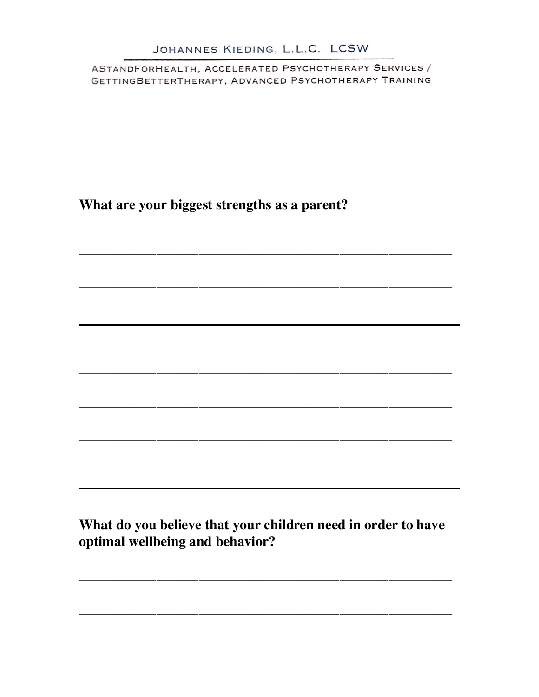ASTANDFORHEALTH, ACCELERATED PSYCHOTHERAPY SERVICES / GETTINGBETTERTHERAPY, ADVANCED PSYCHOTHERAPY TRAINING

What are your biggest strengths as a parent?

What do you believe that your children need in order to have optimal wellbeing and behavior?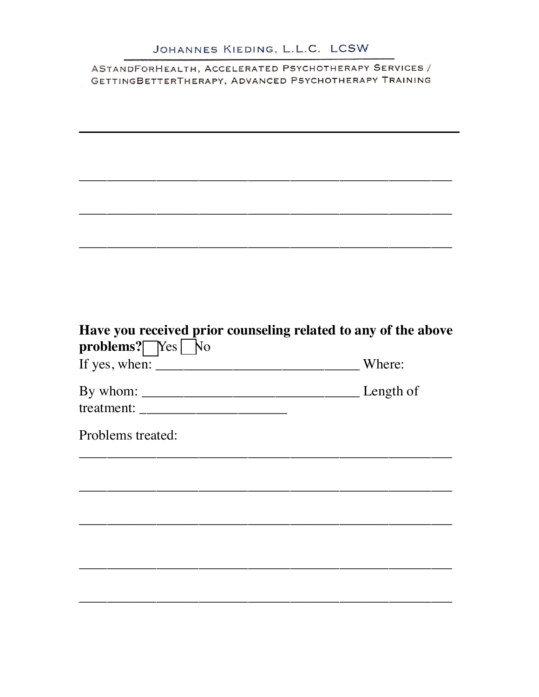| Have you received prior counseling related to any of the above<br>problems? Yes No |        |
|------------------------------------------------------------------------------------|--------|
|                                                                                    | Where: |
|                                                                                    |        |
| treatment:                                                                         |        |
| Problems treated:                                                                  |        |
|                                                                                    |        |
|                                                                                    |        |
|                                                                                    |        |
|                                                                                    |        |
|                                                                                    |        |
|                                                                                    |        |
|                                                                                    |        |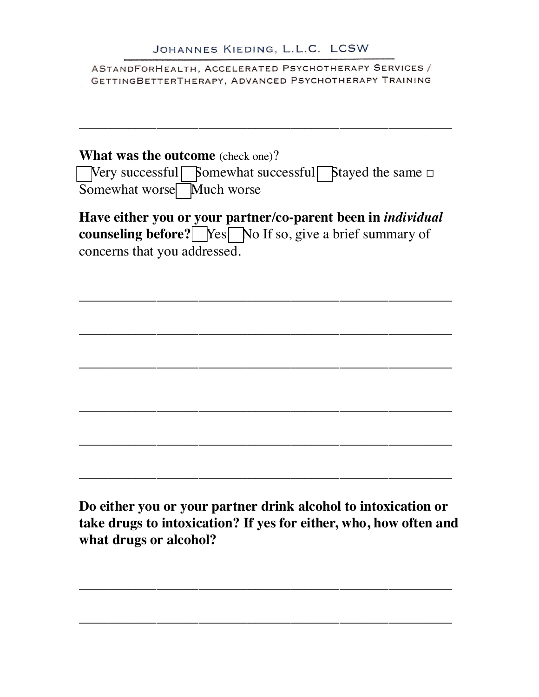ASTANDFORHEALTH, ACCELERATED PSYCHOTHERAPY SERVICES / GETTINGBETTERTHERAPY, ADVANCED PSYCHOTHERAPY TRAINING

\_\_\_\_\_\_\_\_\_\_\_\_\_\_\_\_\_\_\_\_\_\_\_\_\_\_\_\_\_\_\_\_\_\_\_\_\_\_\_\_\_\_\_\_\_\_\_\_\_\_\_\_\_

| <b>What was the outcome</b> (check one)? |                           |                                                                                 |  |  |  |  |  |
|------------------------------------------|---------------------------|---------------------------------------------------------------------------------|--|--|--|--|--|
|                                          |                           | $\Box$ Very successful $\Box$ Somewhat successful $\Box$ Stayed the same $\Box$ |  |  |  |  |  |
|                                          | Somewhat worse Much worse |                                                                                 |  |  |  |  |  |

**Have either you or your partner/co-parent been in** *individual*  **counseling before?** Yes No If so, give a brief summary of concerns that you addressed.

\_\_\_\_\_\_\_\_\_\_\_\_\_\_\_\_\_\_\_\_\_\_\_\_\_\_\_\_\_\_\_\_\_\_\_\_\_\_\_\_\_\_\_\_\_\_\_\_\_\_\_\_\_

\_\_\_\_\_\_\_\_\_\_\_\_\_\_\_\_\_\_\_\_\_\_\_\_\_\_\_\_\_\_\_\_\_\_\_\_\_\_\_\_\_\_\_\_\_\_\_\_\_\_\_\_\_

\_\_\_\_\_\_\_\_\_\_\_\_\_\_\_\_\_\_\_\_\_\_\_\_\_\_\_\_\_\_\_\_\_\_\_\_\_\_\_\_\_\_\_\_\_\_\_\_\_\_\_\_\_

\_\_\_\_\_\_\_\_\_\_\_\_\_\_\_\_\_\_\_\_\_\_\_\_\_\_\_\_\_\_\_\_\_\_\_\_\_\_\_\_\_\_\_\_\_\_\_\_\_\_\_\_\_

\_\_\_\_\_\_\_\_\_\_\_\_\_\_\_\_\_\_\_\_\_\_\_\_\_\_\_\_\_\_\_\_\_\_\_\_\_\_\_\_\_\_\_\_\_\_\_\_\_\_\_\_\_

\_\_\_\_\_\_\_\_\_\_\_\_\_\_\_\_\_\_\_\_\_\_\_\_\_\_\_\_\_\_\_\_\_\_\_\_\_\_\_\_\_\_\_\_\_\_\_\_\_\_\_\_\_

**Do either you or your partner drink alcohol to intoxication or take drugs to intoxication? If yes for either, who, how often and what drugs or alcohol?** 

\_\_\_\_\_\_\_\_\_\_\_\_\_\_\_\_\_\_\_\_\_\_\_\_\_\_\_\_\_\_\_\_\_\_\_\_\_\_\_\_\_\_\_\_\_\_\_\_\_\_\_\_\_

\_\_\_\_\_\_\_\_\_\_\_\_\_\_\_\_\_\_\_\_\_\_\_\_\_\_\_\_\_\_\_\_\_\_\_\_\_\_\_\_\_\_\_\_\_\_\_\_\_\_\_\_\_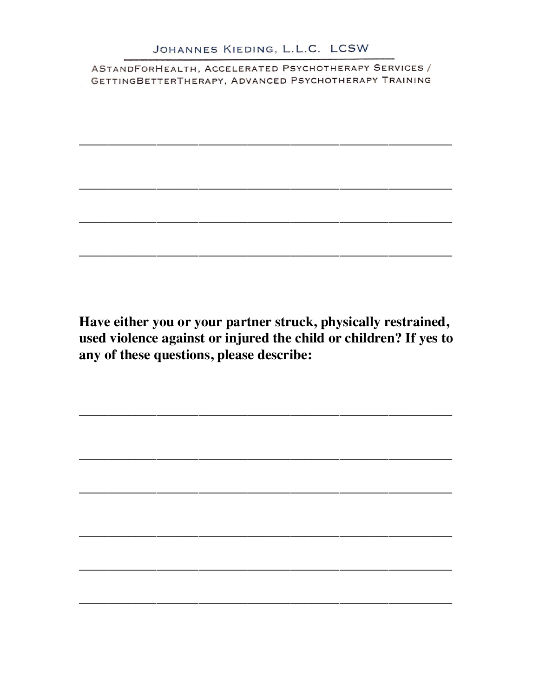Have either you or your partner struck, physically restrained, used violence against or injured the child or children? If yes to any of these questions, please describe: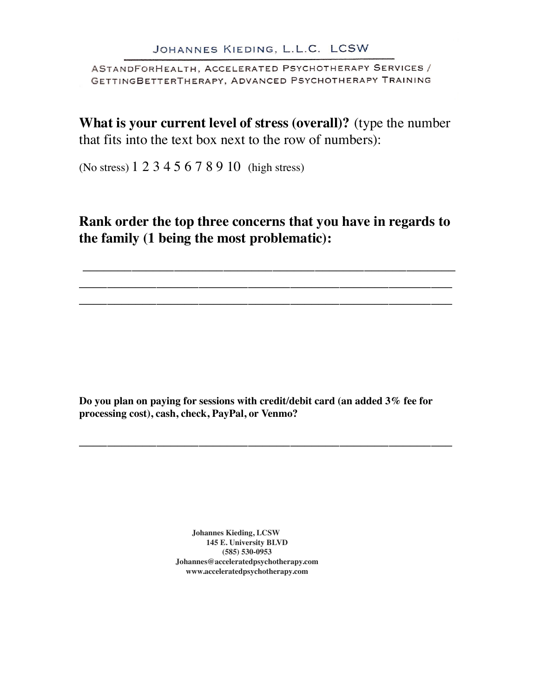**What is your current level of stress (overall)?** (type the number that fits into the text box next to the row of numbers):

(No stress) 1 2 3 4 5 6 7 8 9 10 (high stress)

Rank order the top three concerns that you have in regards to the family (1 being the most problematic):

Do you plan on paying for sessions with credit/debit card (an added 3% fee for processing cost), cash, check, PayPal, or Venmo?

> **Johannes Kieding, LCSW 145 E. University BLVD (585) 530-0953 Johannes@acceleratedpsychotherapy.com www.acceleratedpsychotherapy.com**